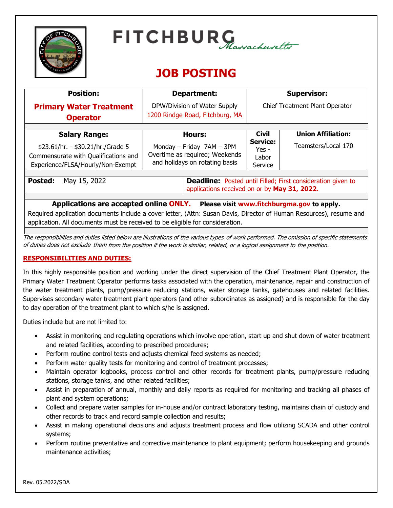

# $FITCHBURG$ Massachusetts

# **JOB POSTING**

| <b>Position:</b>                                                                                                    | Department:                                                                                                        | <b>Supervisor:</b>                             |                           |
|---------------------------------------------------------------------------------------------------------------------|--------------------------------------------------------------------------------------------------------------------|------------------------------------------------|---------------------------|
| <b>Primary Water Treatment</b>                                                                                      | DPW/Division of Water Supply                                                                                       | Chief Treatment Plant Operator                 |                           |
| <b>Operator</b>                                                                                                     | 1200 Rindge Road, Fitchburg, MA                                                                                    |                                                |                           |
|                                                                                                                     |                                                                                                                    |                                                |                           |
| <b>Salary Range:</b>                                                                                                | Hours:                                                                                                             | <b>Civil</b>                                   | <b>Union Affiliation:</b> |
| \$23.61/hr. - \$30.21/hr./Grade 5<br>Commensurate with Qualifications and<br>Experience/FLSA/Hourly/Non-Exempt      | Monday - Friday 7AM - 3PM<br>Overtime as required; Weekends<br>and holidays on rotating basis                      | <b>Service:</b><br>$Yes -$<br>Labor<br>Service | Teamsters/Local 170       |
|                                                                                                                     |                                                                                                                    |                                                |                           |
| May 15, 2022<br><b>Posted:</b>                                                                                      | <b>Deadline:</b> Posted until Filled; First consideration given to<br>applications received on or by May 31, 2022. |                                                |                           |
|                                                                                                                     |                                                                                                                    |                                                |                           |
| Applications are accepted online ONLY. Please visit www.fitchburgma.gov to apply.                                   |                                                                                                                    |                                                |                           |
| Required application documents include a cover letter, (Attn: Susan Davis, Director of Human Resources), resume and |                                                                                                                    |                                                |                           |

The responsibilities and duties listed below are illustrations of the various types of work performed. The omission of specific statements of duties does not exclude them from the position if the work is similar, related, or a logical assignment to the position.

# **RESPONSIBILITIES AND DUTIES:**

In this highly responsible position and working under the direct supervision of the Chief Treatment Plant Operator, the Primary Water Treatment Operator performs tasks associated with the operation, maintenance, repair and construction of the water treatment plants, pump/pressure reducing stations, water storage tanks, gatehouses and related facilities. Supervises secondary water treatment plant operators (and other subordinates as assigned) and is responsible for the day to day operation of the treatment plant to which s/he is assigned.

Duties include but are not limited to:

- Assist in monitoring and regulating operations which involve operation, start up and shut down of water treatment and related facilities, according to prescribed procedures;
- Perform routine control tests and adjusts chemical feed systems as needed;

application. All documents must be received to be eligible for consideration.

- Perform water quality tests for monitoring and control of treatment processes;
- Maintain operator logbooks, process control and other records for treatment plants, pump/pressure reducing stations, storage tanks, and other related facilities;
- Assist in preparation of annual, monthly and daily reports as required for monitoring and tracking all phases of plant and system operations;
- Collect and prepare water samples for in-house and/or contract laboratory testing, maintains chain of custody and other records to track and record sample collection and results;
- Assist in making operational decisions and adjusts treatment process and flow utilizing SCADA and other control systems;
- Perform routine preventative and corrective maintenance to plant equipment; perform housekeeping and grounds maintenance activities;